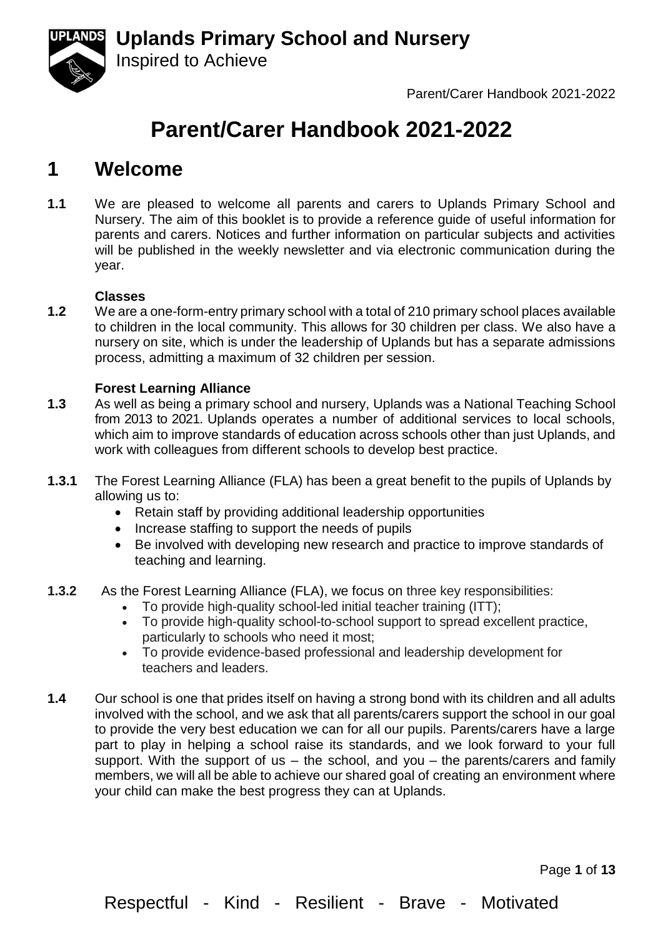

Parent/Carer Handbook 2021-2022

# **Parent/Carer Handbook 2021-2022**

## **1 Welcome**

**1.1** We are pleased to welcome all parents and carers to Uplands Primary School and Nursery. The aim of this booklet is to provide a reference guide of useful information for parents and carers. Notices and further information on particular subjects and activities will be published in the weekly newsletter and via electronic communication during the year.

#### **Classes**

**1.2** We are a one-form-entry primary school with a total of 210 primary school places available to children in the local community. This allows for 30 children per class. We also have a nursery on site, which is under the leadership of Uplands but has a separate admissions process, admitting a maximum of 32 children per session.

#### **Forest Learning Alliance**

Inspired to Achieve

- **1.3** As well as being a primary school and nursery, Uplands was a National Teaching School from 2013 to 2021. Uplands operates a number of additional services to local schools, which aim to improve standards of education across schools other than just Uplands, and work with colleagues from different schools to develop best practice.
- **1.3.1** The Forest Learning Alliance (FLA) has been a great benefit to the pupils of Uplands by allowing us to:
	- Retain staff by providing additional leadership opportunities
	- Increase staffing to support the needs of pupils
	- Be involved with developing new research and practice to improve standards of teaching and learning.
- **1.3.2** As the Forest Learning Alliance (FLA), we focus on three key responsibilities:
	- To provide high-quality school-led initial teacher training (ITT):
	- To provide high-quality school-to-school support to spread excellent practice, particularly to schools who need it most;
	- To provide evidence-based professional and leadership development for teachers and leaders.
- **1.4** Our school is one that prides itself on having a strong bond with its children and all adults involved with the school, and we ask that all parents/carers support the school in our goal to provide the very best education we can for all our pupils. Parents/carers have a large part to play in helping a school raise its standards, and we look forward to your full support. With the support of us  $-$  the school, and you  $-$  the parents/carers and family members, we will all be able to achieve our shared goal of creating an environment where your child can make the best progress they can at Uplands.

Page **1** of **13**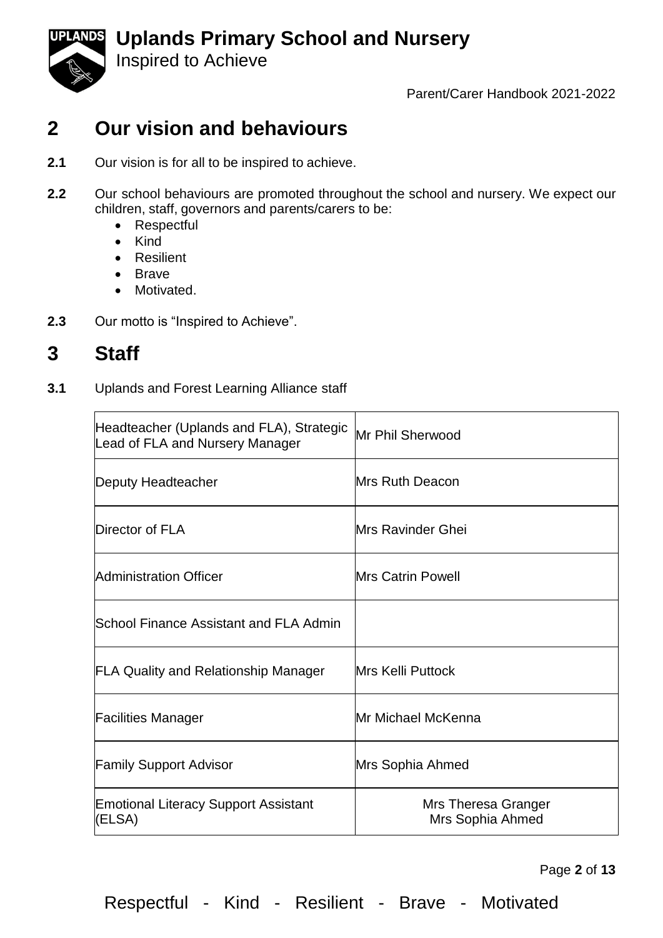

Inspired to Achieve

Parent/Carer Handbook 2021-2022

## **2 Our vision and behaviours**

- **2.1** Our vision is for all to be inspired to achieve.
- **2.2** Our school behaviours are promoted throughout the school and nursery. We expect our children, staff, governors and parents/carers to be:
	- Respectful
	- Kind
	- Resilient
	- Brave
	- Motivated.
- **2.3** Our motto is "Inspired to Achieve".

## **3 Staff**

**3.1** Uplands and Forest Learning Alliance staff

| Headteacher (Uplands and FLA), Strategic<br>Lead of FLA and Nursery Manager | Mr Phil Sherwood                        |
|-----------------------------------------------------------------------------|-----------------------------------------|
| Deputy Headteacher                                                          | <b>Mrs Ruth Deacon</b>                  |
| Director of FLA                                                             | <b>Mrs Ravinder Ghei</b>                |
| Administration Officer                                                      | <b>Mrs Catrin Powell</b>                |
| School Finance Assistant and FLA Admin                                      |                                         |
| <b>FLA Quality and Relationship Manager</b>                                 | <b>Mrs Kelli Puttock</b>                |
| <b>Facilities Manager</b>                                                   | Mr Michael McKenna                      |
| <b>Family Support Advisor</b>                                               | Mrs Sophia Ahmed                        |
| <b>Emotional Literacy Support Assistant</b><br>(ELSA)                       | Mrs Theresa Granger<br>Mrs Sophia Ahmed |

Page **2** of **13**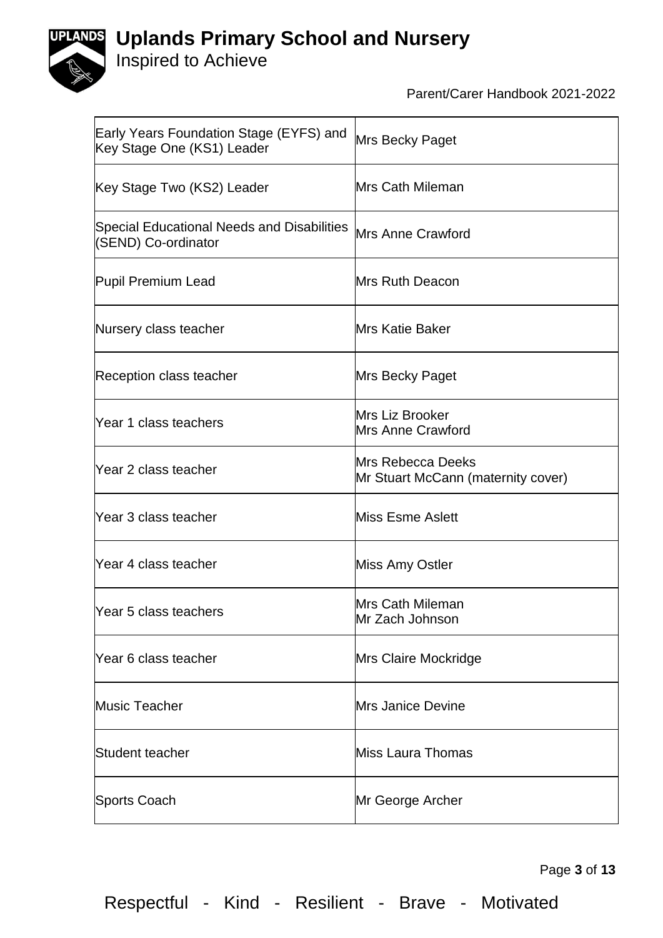



## Inspired to Achieve

Parent/Carer Handbook 2021-2022

| Early Years Foundation Stage (EYFS) and<br>Key Stage One (KS1) Leader | Mrs Becky Paget                                                |
|-----------------------------------------------------------------------|----------------------------------------------------------------|
| Key Stage Two (KS2) Leader                                            | Mrs Cath Mileman                                               |
| Special Educational Needs and Disabilities<br>(SEND) Co-ordinator     | <b>Mrs Anne Crawford</b>                                       |
| Pupil Premium Lead                                                    | Mrs Ruth Deacon                                                |
| Nursery class teacher                                                 | <b>Mrs Katie Baker</b>                                         |
| Reception class teacher                                               | Mrs Becky Paget                                                |
| Year 1 class teachers                                                 | Mrs Liz Brooker<br><b>Mrs Anne Crawford</b>                    |
| Year 2 class teacher                                                  | <b>Mrs Rebecca Deeks</b><br>Mr Stuart McCann (maternity cover) |
| Year 3 class teacher                                                  | Miss Esme Aslett                                               |
| Year 4 class teacher                                                  | Miss Amy Ostler                                                |
| Year 5 class teachers                                                 | Mrs Cath Mileman<br>lMr Zach Johnson                           |
| Year 6 class teacher                                                  | Mrs Claire Mockridge                                           |
| <b>Music Teacher</b>                                                  | <b>Mrs Janice Devine</b>                                       |
| Student teacher                                                       | Miss Laura Thomas                                              |
| Sports Coach                                                          | Mr George Archer                                               |

Page **3** of **13**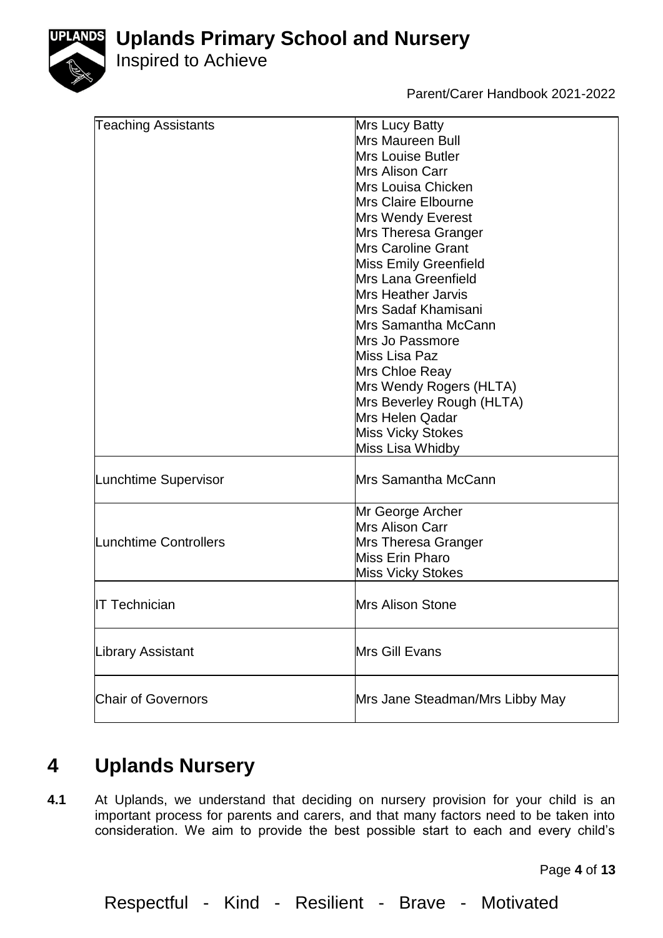

Inspired to Achieve

Parent/Carer Handbook 2021-2022

| <b>Teaching Assistants</b> | Mrs Lucy Batty                  |
|----------------------------|---------------------------------|
|                            | <b>Mrs Maureen Bull</b>         |
|                            | <b>Mrs Louise Butler</b>        |
|                            | Mrs Alison Carr                 |
|                            | Mrs Louisa Chicken              |
|                            | <b>Mrs Claire Elbourne</b>      |
|                            | Mrs Wendy Everest               |
|                            | Mrs Theresa Granger             |
|                            | Mrs Caroline Grant              |
|                            | <b>Miss Emily Greenfield</b>    |
|                            | Mrs Lana Greenfield             |
|                            | <b>Mrs Heather Jarvis</b>       |
|                            | Mrs Sadaf Khamisani             |
|                            | Mrs Samantha McCann             |
|                            | Mrs Jo Passmore                 |
|                            | Miss Lisa Paz                   |
|                            | Mrs Chloe Reay                  |
|                            | Mrs Wendy Rogers (HLTA)         |
|                            | Mrs Beverley Rough (HLTA)       |
|                            | Mrs Helen Qadar                 |
|                            | <b>Miss Vicky Stokes</b>        |
|                            |                                 |
|                            | Miss Lisa Whidby                |
| Lunchtime Supervisor       | Mrs Samantha McCann             |
|                            |                                 |
| Lunchtime Controllers      | Mr George Archer                |
|                            | <b>Mrs Alison Carr</b>          |
|                            | Mrs Theresa Granger             |
|                            | Miss Erin Pharo                 |
|                            | <b>Miss Vicky Stokes</b>        |
|                            |                                 |
| <b>IT Technician</b>       | <b>Mrs Alison Stone</b>         |
|                            |                                 |
| Library Assistant          | Mrs Gill Evans                  |
|                            |                                 |
|                            |                                 |
| <b>Chair of Governors</b>  | Mrs Jane Steadman/Mrs Libby May |
|                            |                                 |

# **4 Uplands Nursery**

**4.1** At Uplands, we understand that deciding on nursery provision for your child is an important process for parents and carers, and that many factors need to be taken into consideration. We aim to provide the best possible start to each and every child's

Page **4** of **13**

Respectful - Kind - Resilient - Brave - Motivated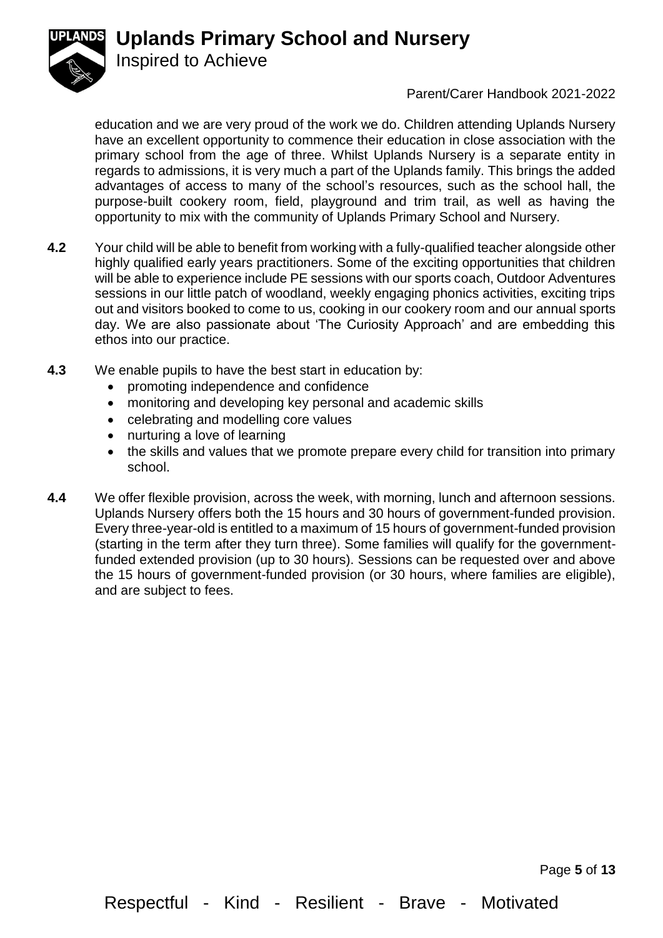

Inspired to Achieve

Parent/Carer Handbook 2021-2022

education and we are very proud of the work we do. Children attending Uplands Nursery have an excellent opportunity to commence their education in close association with the primary school from the age of three. Whilst Uplands Nursery is a separate entity in regards to admissions, it is very much a part of the Uplands family. This brings the added advantages of access to many of the school's resources, such as the school hall, the purpose-built cookery room, field, playground and trim trail, as well as having the opportunity to mix with the community of Uplands Primary School and Nursery.

- **4.2** Your child will be able to benefit from working with a fully-qualified teacher alongside other highly qualified early years practitioners. Some of the exciting opportunities that children will be able to experience include PE sessions with our sports coach, Outdoor Adventures sessions in our little patch of woodland, weekly engaging phonics activities, exciting trips out and visitors booked to come to us, cooking in our cookery room and our annual sports day. We are also passionate about 'The Curiosity Approach' and are embedding this ethos into our practice.
- **4.3** We enable pupils to have the best start in education by:
	- promoting independence and confidence
	- monitoring and developing key personal and academic skills
	- celebrating and modelling core values
	- nurturing a love of learning
	- the skills and values that we promote prepare every child for transition into primary school.
- **4.4** We offer flexible provision, across the week, with morning, lunch and afternoon sessions. Uplands Nursery offers both the 15 hours and 30 hours of government-funded provision. Every three-year-old is entitled to a maximum of 15 hours of government-funded provision (starting in the term after they turn three). Some families will qualify for the governmentfunded extended provision (up to 30 hours). Sessions can be requested over and above the 15 hours of government-funded provision (or 30 hours, where families are eligible), and are subject to fees.

Page **5** of **13**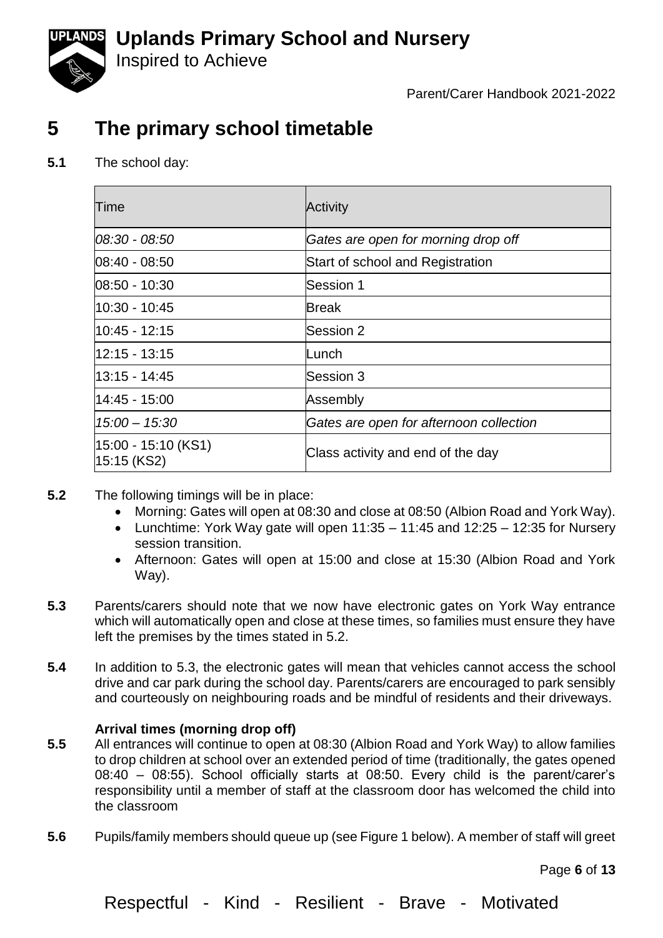

Inspired to Achieve

Parent/Carer Handbook 2021-2022

## **5 The primary school timetable**

**5.1** The school day:

| Time                                    | <b>Activity</b>                         |
|-----------------------------------------|-----------------------------------------|
| 08:30 - 08:50                           | Gates are open for morning drop off     |
| 08:40 - 08:50                           | Start of school and Registration        |
| 08:50 - 10:30                           | Session 1                               |
| 10:30 - 10:45                           | <b>Break</b>                            |
| $10:45 - 12:15$                         | Session 2                               |
| 12:15 - 13:15                           | Lunch                                   |
| 13:15 - 14:45                           | Session 3                               |
| l14:45 - 15:00                          | Assembly                                |
| $15:00 - 15:30$                         | Gates are open for afternoon collection |
| $ 15:00 - 15:10$ (KS1)<br>$15:15$ (KS2) | Class activity and end of the day       |

- **5.2** The following timings will be in place:
	- Morning: Gates will open at 08:30 and close at 08:50 (Albion Road and York Way).
	- Lunchtime: York Way gate will open  $11:35 11:45$  and  $12:25 12:35$  for Nursery session transition.
	- Afternoon: Gates will open at 15:00 and close at 15:30 (Albion Road and York Way).
- **5.3** Parents/carers should note that we now have electronic gates on York Way entrance which will automatically open and close at these times, so families must ensure they have left the premises by the times stated in 5.2.
- **5.4** In addition to 5.3, the electronic gates will mean that vehicles cannot access the school drive and car park during the school day. Parents/carers are encouraged to park sensibly and courteously on neighbouring roads and be mindful of residents and their driveways.

### **Arrival times (morning drop off)**

- **5.5** All entrances will continue to open at 08:30 (Albion Road and York Way) to allow families to drop children at school over an extended period of time (traditionally, the gates opened 08:40 – 08:55). School officially starts at 08:50. Every child is the parent/carer's responsibility until a member of staff at the classroom door has welcomed the child into the classroom
- **5.6** Pupils/family members should queue up (see Figure 1 below). A member of staff will greet

Page **6** of **13**

Respectful - Kind - Resilient - Brave - Motivated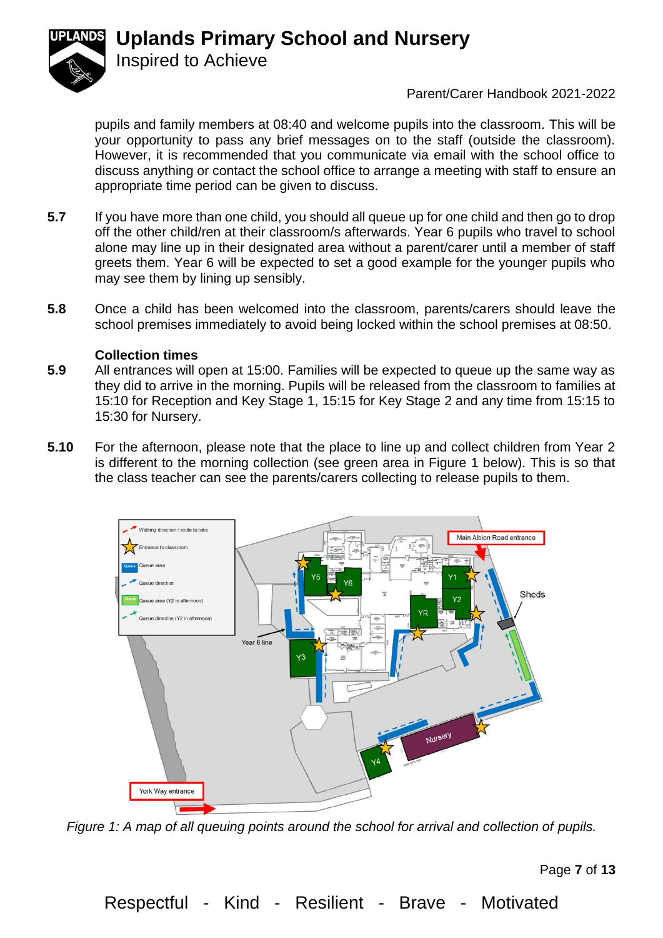Inspired to Achieve



## Parent/Carer Handbook 2021-2022

pupils and family members at 08:40 and welcome pupils into the classroom. This will be your opportunity to pass any brief messages on to the staff (outside the classroom). However, it is recommended that you communicate via email with the school office to discuss anything or contact the school office to arrange a meeting with staff to ensure an appropriate time period can be given to discuss.

- **5.7** If you have more than one child, you should all queue up for one child and then go to drop off the other child/ren at their classroom/s afterwards. Year 6 pupils who travel to school alone may line up in their designated area without a parent/carer until a member of staff greets them. Year 6 will be expected to set a good example for the younger pupils who may see them by lining up sensibly.
- **5.8** Once a child has been welcomed into the classroom, parents/carers should leave the school premises immediately to avoid being locked within the school premises at 08:50.

#### **Collection times**

- **5.9** All entrances will open at 15:00. Families will be expected to queue up the same way as they did to arrive in the morning. Pupils will be released from the classroom to families at 15:10 for Reception and Key Stage 1, 15:15 for Key Stage 2 and any time from 15:15 to 15:30 for Nursery.
- **5.10** For the afternoon, please note that the place to line up and collect children from Year 2 is different to the morning collection (see green area in Figure 1 below). This is so that the class teacher can see the parents/carers collecting to release pupils to them.



*Figure 1: A map of all queuing points around the school for arrival and collection of pupils.* 

Page **7** of **13**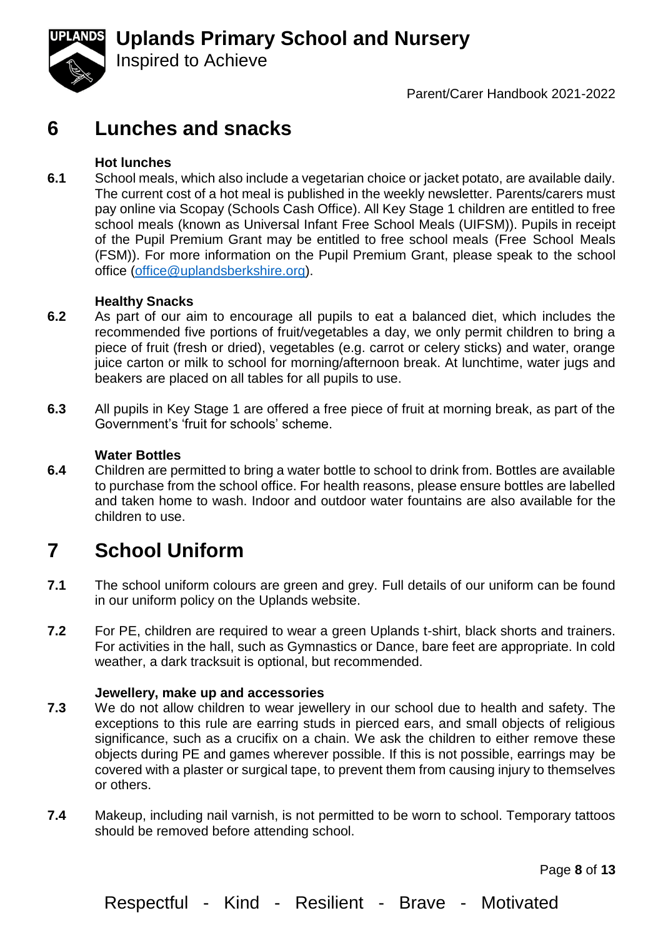

Parent/Carer Handbook 2021-2022

## **6 Lunches and snacks**

Inspired to Achieve

#### **Hot lunches**

**6.1** School meals, which also include a vegetarian choice or jacket potato, are available daily. The current cost of a hot meal is published in the weekly newsletter. Parents/carers must pay online via Scopay (Schools Cash Office). All Key Stage 1 children are entitled to free school meals (known as Universal Infant Free School Meals (UIFSM)). Pupils in receipt of the Pupil Premium Grant may be entitled to free school meals (Free School Meals (FSM)). For more information on the Pupil Premium Grant, please speak to the school office [\(office@uplandsberkshire.org\)](mailto:office@uplandsberkshire.org).

#### **Healthy Snacks**

- **6.2** As part of our aim to encourage all pupils to eat a balanced diet, which includes the recommended five portions of fruit/vegetables a day, we only permit children to bring a piece of fruit (fresh or dried), vegetables (e.g. carrot or celery sticks) and water, orange juice carton or milk to school for morning/afternoon break. At lunchtime, water jugs and beakers are placed on all tables for all pupils to use.
- **6.3** All pupils in Key Stage 1 are offered a free piece of fruit at morning break, as part of the Government's 'fruit for schools' scheme.

#### **Water Bottles**

**6.4** Children are permitted to bring a water bottle to school to drink from. Bottles are available to purchase from the school office. For health reasons, please ensure bottles are labelled and taken home to wash. Indoor and outdoor water fountains are also available for the children to use.

## **7 School Uniform**

- **7.1** The school uniform colours are green and grey. Full details of our uniform can be found in our uniform policy on the Uplands website.
- **7.2** For PE, children are required to wear a green Uplands t-shirt, black shorts and trainers. For activities in the hall, such as Gymnastics or Dance, bare feet are appropriate. In cold weather, a dark tracksuit is optional, but recommended.

#### **Jewellery, make up and accessories**

- **7.3** We do not allow children to wear jewellery in our school due to health and safety. The exceptions to this rule are earring studs in pierced ears, and small objects of religious significance, such as a crucifix on a chain. We ask the children to either remove these objects during PE and games wherever possible. If this is not possible, earrings may be covered with a plaster or surgical tape, to prevent them from causing injury to themselves or others.
- **7.4** Makeup, including nail varnish, is not permitted to be worn to school. Temporary tattoos should be removed before attending school.

Page **8** of **13**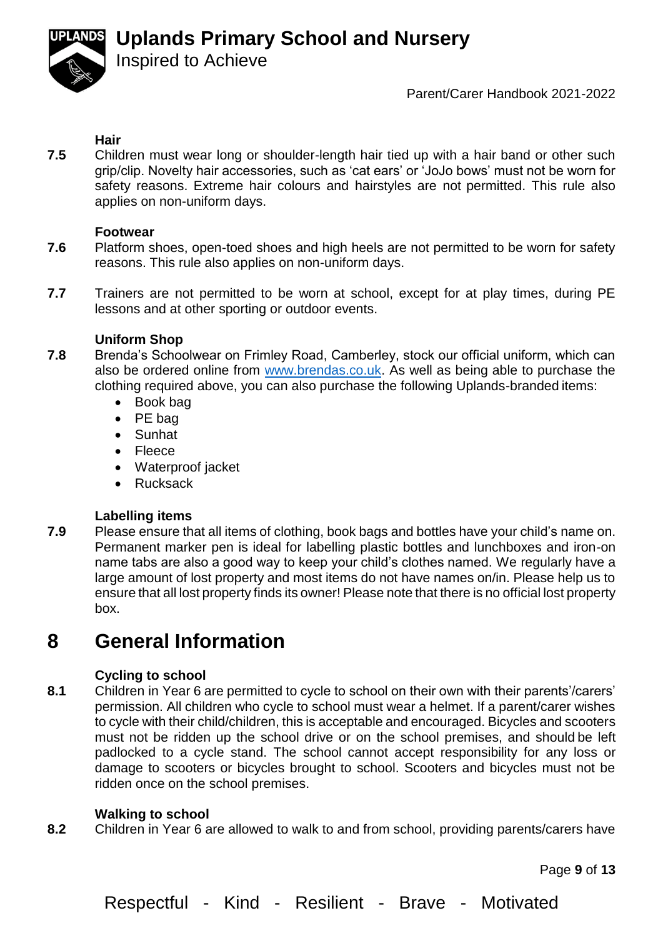Inspired to Achieve



#### Parent/Carer Handbook 2021-2022

#### **Hair**

**7.5** Children must wear long or shoulder-length hair tied up with a hair band or other such grip/clip. Novelty hair accessories, such as 'cat ears' or 'JoJo bows' must not be worn for safety reasons. Extreme hair colours and hairstyles are not permitted. This rule also applies on non-uniform days.

#### **Footwear**

- **7.6** Platform shoes, open-toed shoes and high heels are not permitted to be worn for safety reasons. This rule also applies on non-uniform days.
- **7.7** Trainers are not permitted to be worn at school, except for at play times, during PE lessons and at other sporting or outdoor events.

#### **Uniform Shop**

- **7.8** Brenda's Schoolwear on Frimley Road, Camberley, stock our official uniform, which can also be ordered online from [www.brendas.co.uk.](http://www.brendas.co.uk/) As well as being able to purchase the clothing required above, you can also purchase the following Uplands-branded items:
	- Book bag
	- PE bag
	- Sunhat
	- Fleece
	- Waterproof jacket
	- Rucksack

#### **Labelling items**

**7.9** Please ensure that all items of clothing, book bags and bottles have your child's name on. Permanent marker pen is ideal for labelling plastic bottles and lunchboxes and iron-on name tabs are also a good way to keep your child's clothes named. We regularly have a large amount of lost property and most items do not have names on/in. Please help us to ensure that all lost property finds its owner! Please note that there is no official lost property box.

## **8 General Information**

#### **Cycling to school**

**8.1** Children in Year 6 are permitted to cycle to school on their own with their parents'/carers' permission. All children who cycle to school must wear a helmet. If a parent/carer wishes to cycle with their child/children, this is acceptable and encouraged. Bicycles and scooters must not be ridden up the school drive or on the school premises, and should be left padlocked to a cycle stand. The school cannot accept responsibility for any loss or damage to scooters or bicycles brought to school. Scooters and bicycles must not be ridden once on the school premises.

#### **Walking to school**

**8.2** Children in Year 6 are allowed to walk to and from school, providing parents/carers have

Page **9** of **13**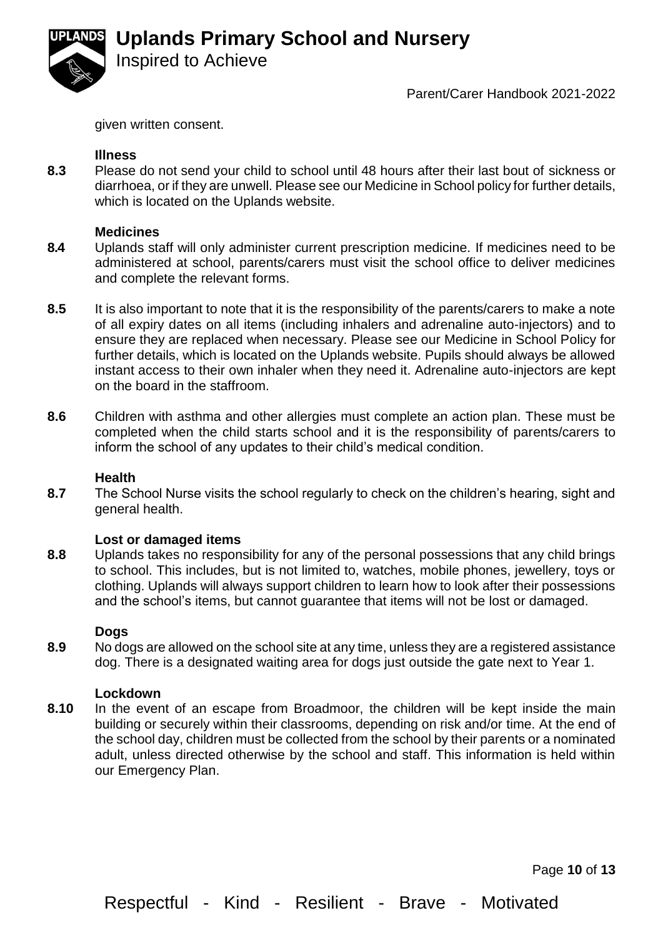

#### Parent/Carer Handbook 2021-2022

given written consent.

Inspired to Achieve

#### **Illness**

**8.3** Please do not send your child to school until 48 hours after their last bout of sickness or diarrhoea, or if they are unwell. Please see our Medicine in School policy for further details, which is located on the Uplands website.

#### **Medicines**

- **8.4** Uplands staff will only administer current prescription medicine. If medicines need to be administered at school, parents/carers must visit the school office to deliver medicines and complete the relevant forms.
- **8.5** It is also important to note that it is the responsibility of the parents/carers to make a note of all expiry dates on all items (including inhalers and adrenaline auto-injectors) and to ensure they are replaced when necessary. Please see our Medicine in School Policy for further details, which is located on the Uplands website. Pupils should always be allowed instant access to their own inhaler when they need it. Adrenaline auto-injectors are kept on the board in the staffroom.
- **8.6** Children with asthma and other allergies must complete an action plan. These must be completed when the child starts school and it is the responsibility of parents/carers to inform the school of any updates to their child's medical condition.

#### **Health**

**8.7** The School Nurse visits the school regularly to check on the children's hearing, sight and general health.

#### **Lost or damaged items**

**8.8** Uplands takes no responsibility for any of the personal possessions that any child brings to school. This includes, but is not limited to, watches, mobile phones, jewellery, toys or clothing. Uplands will always support children to learn how to look after their possessions and the school's items, but cannot guarantee that items will not be lost or damaged.

#### **Dogs**

**8.9** No dogs are allowed on the school site at any time, unless they are a registered assistance dog. There is a designated waiting area for dogs just outside the gate next to Year 1.

#### **Lockdown**

**8.10** In the event of an escape from Broadmoor, the children will be kept inside the main building or securely within their classrooms, depending on risk and/or time. At the end of the school day, children must be collected from the school by their parents or a nominated adult, unless directed otherwise by the school and staff. This information is held within our Emergency Plan.

Page **10** of **13**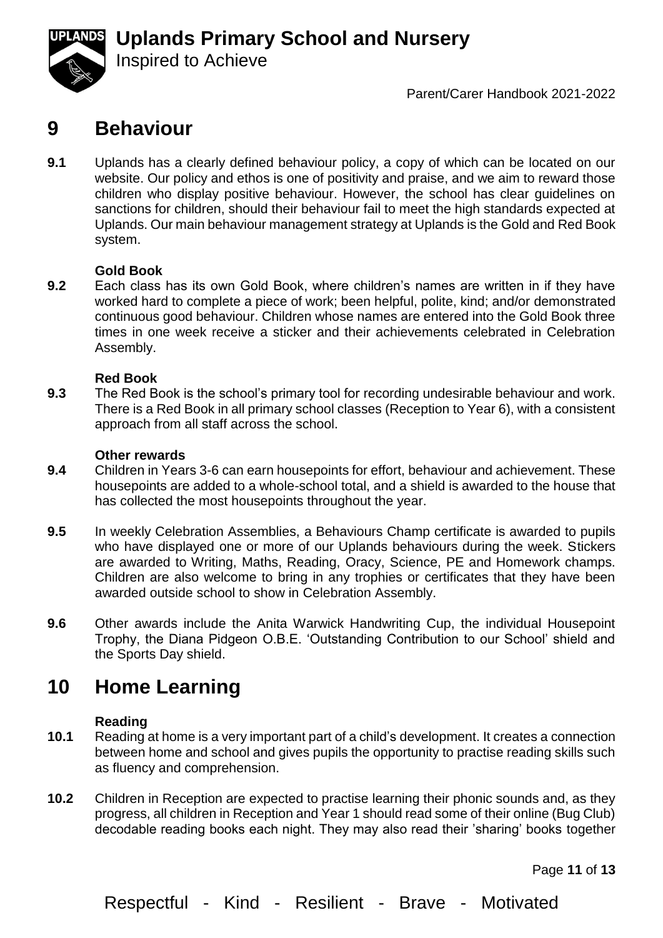

Parent/Carer Handbook 2021-2022

## **9 Behaviour**

Inspired to Achieve

**9.1** Uplands has a clearly defined behaviour policy, a copy of which can be located on our website. Our policy and ethos is one of positivity and praise, and we aim to reward those children who display positive behaviour. However, the school has clear guidelines on sanctions for children, should their behaviour fail to meet the high standards expected at Uplands. Our main behaviour management strategy at Uplands is the Gold and Red Book system.

#### **Gold Book**

**9.2** Each class has its own Gold Book, where children's names are written in if they have worked hard to complete a piece of work; been helpful, polite, kind; and/or demonstrated continuous good behaviour. Children whose names are entered into the Gold Book three times in one week receive a sticker and their achievements celebrated in Celebration Assembly.

#### **Red Book**

**9.3** The Red Book is the school's primary tool for recording undesirable behaviour and work. There is a Red Book in all primary school classes (Reception to Year 6), with a consistent approach from all staff across the school.

#### **Other rewards**

- **9.4** Children in Years 3-6 can earn housepoints for effort, behaviour and achievement. These housepoints are added to a whole-school total, and a shield is awarded to the house that has collected the most housepoints throughout the year.
- **9.5** In weekly Celebration Assemblies, a Behaviours Champ certificate is awarded to pupils who have displayed one or more of our Uplands behaviours during the week. Stickers are awarded to Writing, Maths, Reading, Oracy, Science, PE and Homework champs. Children are also welcome to bring in any trophies or certificates that they have been awarded outside school to show in Celebration Assembly.
- **9.6** Other awards include the Anita Warwick Handwriting Cup, the individual Housepoint Trophy, the Diana Pidgeon O.B.E. 'Outstanding Contribution to our School' shield and the Sports Day shield.

## **10 Home Learning**

#### **Reading**

- **10.1** Reading at home is a very important part of a child's development. It creates a connection between home and school and gives pupils the opportunity to practise reading skills such as fluency and comprehension.
- **10.2** Children in Reception are expected to practise learning their phonic sounds and, as they progress, all children in Reception and Year 1 should read some of their online (Bug Club) decodable reading books each night. They may also read their 'sharing' books together

Page **11** of **13**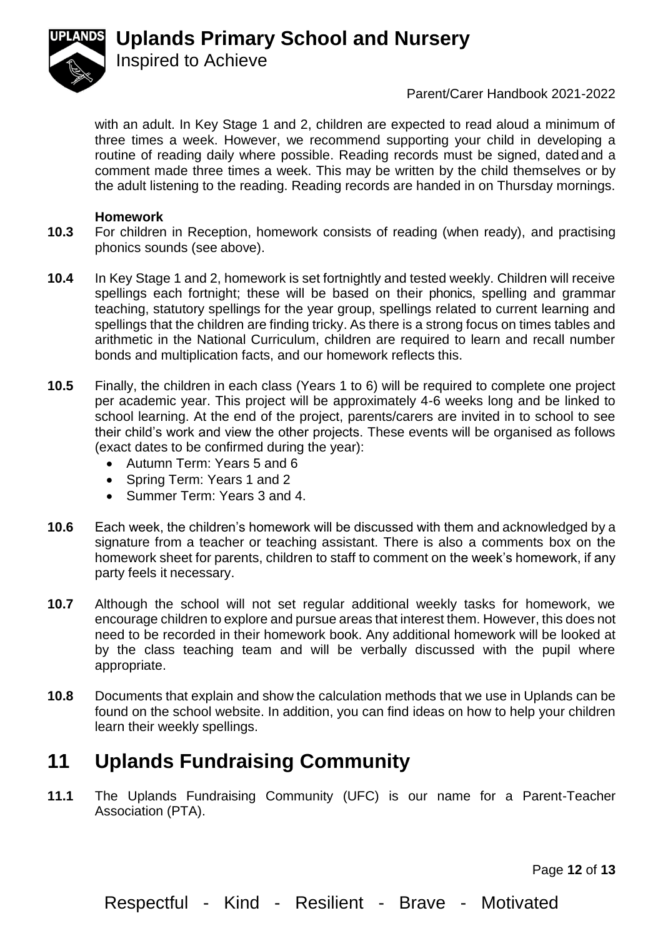

#### Parent/Carer Handbook 2021-2022

with an adult. In Key Stage 1 and 2, children are expected to read aloud a minimum of three times a week. However, we recommend supporting your child in developing a routine of reading daily where possible. Reading records must be signed, dated and a comment made three times a week. This may be written by the child themselves or by the adult listening to the reading. Reading records are handed in on Thursday mornings.

#### **Homework**

- **10.3** For children in Reception, homework consists of reading (when ready), and practising phonics sounds (see above).
- **10.4** In Key Stage 1 and 2, homework is set fortnightly and tested weekly. Children will receive spellings each fortnight; these will be based on their phonics, spelling and grammar teaching, statutory spellings for the year group, spellings related to current learning and spellings that the children are finding tricky. As there is a strong focus on times tables and arithmetic in the National Curriculum, children are required to learn and recall number bonds and multiplication facts, and our homework reflects this.
- **10.5** Finally, the children in each class (Years 1 to 6) will be required to complete one project per academic year. This project will be approximately 4-6 weeks long and be linked to school learning. At the end of the project, parents/carers are invited in to school to see their child's work and view the other projects. These events will be organised as follows (exact dates to be confirmed during the year):
	- Autumn Term: Years 5 and 6
	- Spring Term: Years 1 and 2

Inspired to Achieve

- Summer Term: Years 3 and 4.
- **10.6** Each week, the children's homework will be discussed with them and acknowledged by a signature from a teacher or teaching assistant. There is also a comments box on the homework sheet for parents, children to staff to comment on the week's homework, if any party feels it necessary.
- **10.7** Although the school will not set regular additional weekly tasks for homework, we encourage children to explore and pursue areas that interest them. However, this does not need to be recorded in their homework book. Any additional homework will be looked at by the class teaching team and will be verbally discussed with the pupil where appropriate.
- **10.8** Documents that explain and show the calculation methods that we use in Uplands can be found on the school website. In addition, you can find ideas on how to help your children learn their weekly spellings.

## **11 Uplands Fundraising Community**

**11.1** The Uplands Fundraising Community (UFC) is our name for a Parent-Teacher Association (PTA).

Page **12** of **13**

Respectful - Kind - Resilient - Brave - Motivated